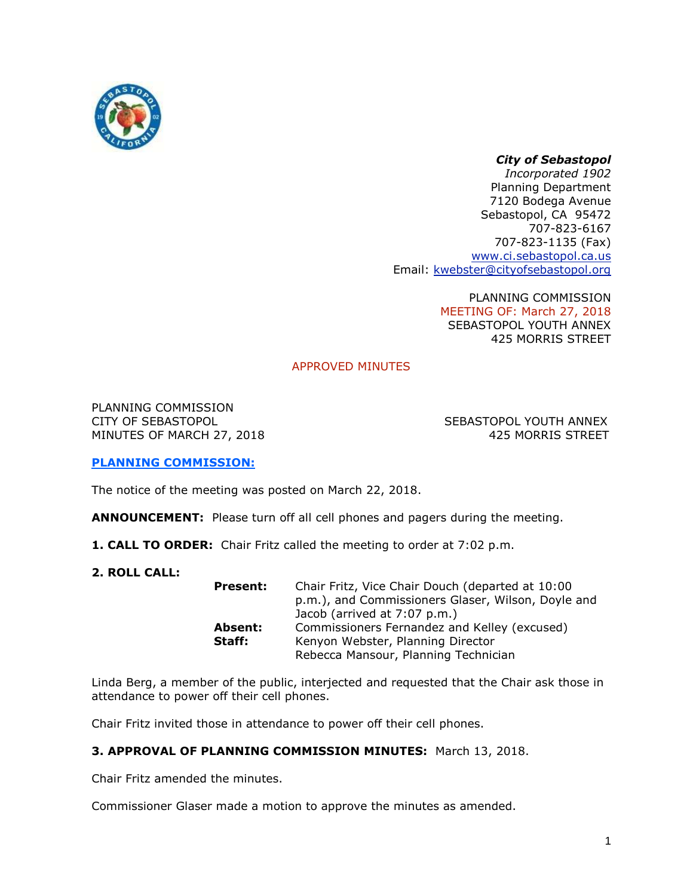

# *City of Sebastopol*

*Incorporated 1902* Planning Department 7120 Bodega Avenue Sebastopol, CA 95472 707-823-6167 707-823-1135 (Fax) [www.ci.sebastopol.ca.us](http://www.ci.sebastopol.ca.us/) Email: [kwebster@cityofsebastopol.org](mailto:kplan@sonic.net)

> PLANNING COMMISSION MEETING OF: March 27, 2018 SEBASTOPOL YOUTH ANNEX 425 MORRIS STREET

# APPROVED MINUTES

PLANNING COMMISSION CITY OF SEBASTOPOL SEBASTOPOL YOUTH ANNEX MINUTES OF MARCH 27, 2018 425 MORRIS STREET

## **PLANNING COMMISSION:**

The notice of the meeting was posted on March 22, 2018.

**ANNOUNCEMENT:** Please turn off all cell phones and pagers during the meeting.

- **1. CALL TO ORDER:** Chair Fritz called the meeting to order at 7:02 p.m.
- **2. ROLL CALL:**

| <b>Present:</b> | Chair Fritz, Vice Chair Douch (departed at 10:00   |
|-----------------|----------------------------------------------------|
|                 | p.m.), and Commissioners Glaser, Wilson, Doyle and |
|                 | Jacob (arrived at 7:07 p.m.)                       |
| Absent:         | Commissioners Fernandez and Kelley (excused)       |
| Staff:          | Kenyon Webster, Planning Director                  |
|                 | Rebecca Mansour, Planning Technician               |

Linda Berg, a member of the public, interjected and requested that the Chair ask those in attendance to power off their cell phones.

Chair Fritz invited those in attendance to power off their cell phones.

# **3. APPROVAL OF PLANNING COMMISSION MINUTES:** March 13, 2018.

Chair Fritz amended the minutes.

Commissioner Glaser made a motion to approve the minutes as amended.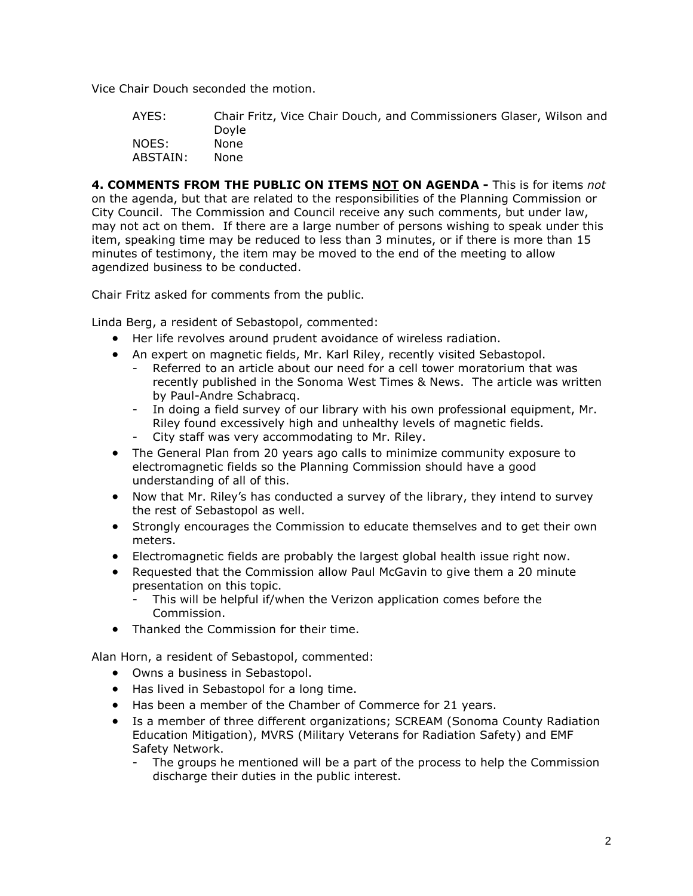Vice Chair Douch seconded the motion.

AYES: Chair Fritz, Vice Chair Douch, and Commissioners Glaser, Wilson and Doyle NOES: None ABSTAIN: None

**4. COMMENTS FROM THE PUBLIC ON ITEMS NOT ON AGENDA -** This is for items *not* on the agenda, but that are related to the responsibilities of the Planning Commission or City Council. The Commission and Council receive any such comments, but under law, may not act on them. If there are a large number of persons wishing to speak under this item, speaking time may be reduced to less than 3 minutes, or if there is more than 15 minutes of testimony, the item may be moved to the end of the meeting to allow agendized business to be conducted.

Chair Fritz asked for comments from the public.

Linda Berg, a resident of Sebastopol, commented:

- Her life revolves around prudent avoidance of wireless radiation.
- An expert on magnetic fields, Mr. Karl Riley, recently visited Sebastopol.
	- Referred to an article about our need for a cell tower moratorium that was recently published in the Sonoma West Times & News. The article was written by Paul-Andre Schabracq.
	- In doing a field survey of our library with his own professional equipment, Mr. Riley found excessively high and unhealthy levels of magnetic fields.
	- City staff was very accommodating to Mr. Riley.
- The General Plan from 20 years ago calls to minimize community exposure to electromagnetic fields so the Planning Commission should have a good understanding of all of this.
- Now that Mr. Riley's has conducted a survey of the library, they intend to survey the rest of Sebastopol as well.
- Strongly encourages the Commission to educate themselves and to get their own meters.
- Electromagnetic fields are probably the largest global health issue right now.
- Requested that the Commission allow Paul McGavin to give them a 20 minute presentation on this topic.
	- This will be helpful if/when the Verizon application comes before the Commission.
- Thanked the Commission for their time.

Alan Horn, a resident of Sebastopol, commented:

- Owns a business in Sebastopol.
- Has lived in Sebastopol for a long time.
- Has been a member of the Chamber of Commerce for 21 years.
- Is a member of three different organizations; SCREAM (Sonoma County Radiation Education Mitigation), MVRS (Military Veterans for Radiation Safety) and EMF Safety Network.
	- The groups he mentioned will be a part of the process to help the Commission discharge their duties in the public interest.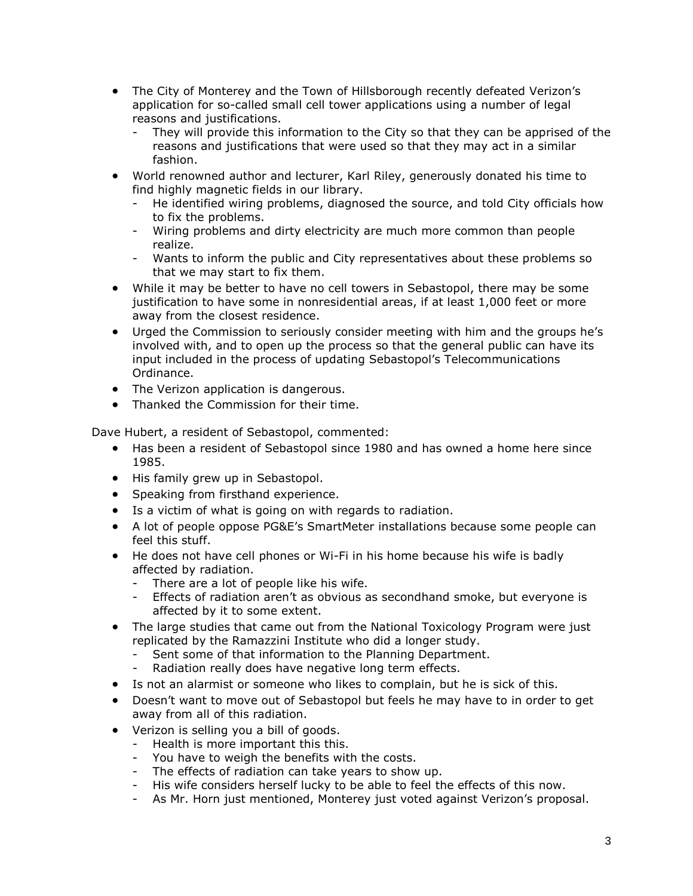- The City of Monterey and the Town of Hillsborough recently defeated Verizon's application for so-called small cell tower applications using a number of legal reasons and justifications.
	- They will provide this information to the City so that they can be apprised of the reasons and justifications that were used so that they may act in a similar fashion.
- World renowned author and lecturer, Karl Riley, generously donated his time to find highly magnetic fields in our library.
	- He identified wiring problems, diagnosed the source, and told City officials how to fix the problems.
	- Wiring problems and dirty electricity are much more common than people realize.
	- Wants to inform the public and City representatives about these problems so that we may start to fix them.
- While it may be better to have no cell towers in Sebastopol, there may be some justification to have some in nonresidential areas, if at least 1,000 feet or more away from the closest residence.
- Urged the Commission to seriously consider meeting with him and the groups he's involved with, and to open up the process so that the general public can have its input included in the process of updating Sebastopol's Telecommunications Ordinance.
- The Verizon application is dangerous.
- Thanked the Commission for their time.

Dave Hubert, a resident of Sebastopol, commented:

- Has been a resident of Sebastopol since 1980 and has owned a home here since 1985.
- His family grew up in Sebastopol.
- Speaking from firsthand experience.
- Is a victim of what is going on with regards to radiation.
- A lot of people oppose PG&E's SmartMeter installations because some people can feel this stuff.
- He does not have cell phones or Wi-Fi in his home because his wife is badly affected by radiation.
	- There are a lot of people like his wife.
	- Effects of radiation aren't as obvious as secondhand smoke, but everyone is affected by it to some extent.
- The large studies that came out from the National Toxicology Program were just replicated by the Ramazzini Institute who did a longer study.
	- Sent some of that information to the Planning Department.
	- Radiation really does have negative long term effects.
- Is not an alarmist or someone who likes to complain, but he is sick of this.
- Doesn't want to move out of Sebastopol but feels he may have to in order to get away from all of this radiation.
- Verizon is selling you a bill of goods.
	- Health is more important this this.
	- You have to weigh the benefits with the costs.
	- The effects of radiation can take years to show up.
	- His wife considers herself lucky to be able to feel the effects of this now.
	- As Mr. Horn just mentioned, Monterey just voted against Verizon's proposal.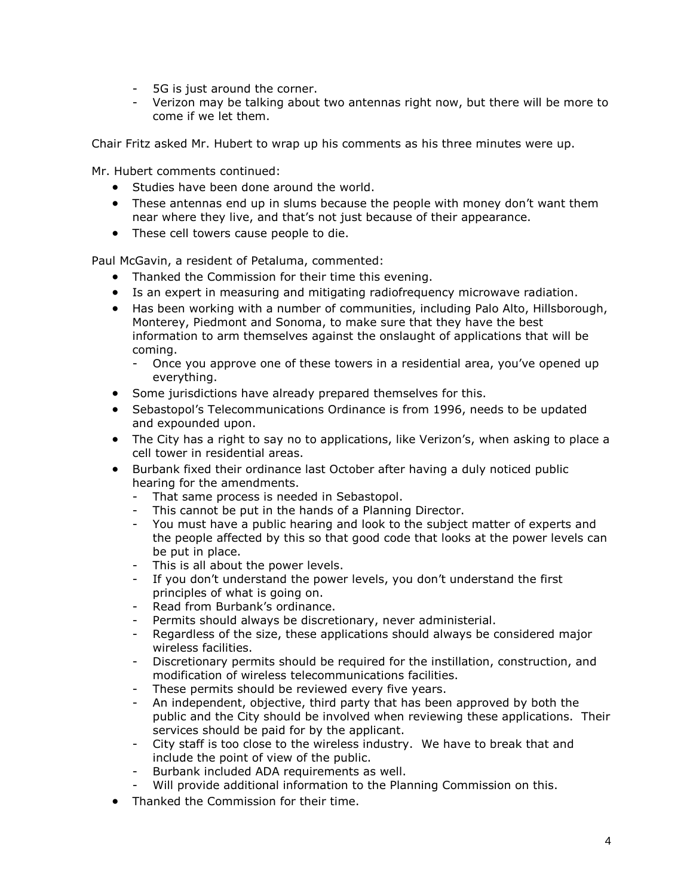- 5G is just around the corner.
- Verizon may be talking about two antennas right now, but there will be more to come if we let them.

Chair Fritz asked Mr. Hubert to wrap up his comments as his three minutes were up.

Mr. Hubert comments continued:

- Studies have been done around the world.
- These antennas end up in slums because the people with money don't want them near where they live, and that's not just because of their appearance.
- These cell towers cause people to die.

Paul McGavin, a resident of Petaluma, commented:

- Thanked the Commission for their time this evening.
- Is an expert in measuring and mitigating radiofrequency microwave radiation.
- Has been working with a number of communities, including Palo Alto, Hillsborough, Monterey, Piedmont and Sonoma, to make sure that they have the best information to arm themselves against the onslaught of applications that will be coming.
	- Once you approve one of these towers in a residential area, you've opened up everything.
- Some jurisdictions have already prepared themselves for this.
- Sebastopol's Telecommunications Ordinance is from 1996, needs to be updated and expounded upon.
- The City has a right to say no to applications, like Verizon's, when asking to place a cell tower in residential areas.
- Burbank fixed their ordinance last October after having a duly noticed public hearing for the amendments.
	- That same process is needed in Sebastopol.
	- This cannot be put in the hands of a Planning Director.
	- You must have a public hearing and look to the subject matter of experts and the people affected by this so that good code that looks at the power levels can be put in place.
	- This is all about the power levels.
	- If you don't understand the power levels, you don't understand the first principles of what is going on.
	- Read from Burbank's ordinance.
	- Permits should always be discretionary, never administerial.
	- Regardless of the size, these applications should always be considered major wireless facilities.
	- Discretionary permits should be required for the instillation, construction, and modification of wireless telecommunications facilities.
	- These permits should be reviewed every five years.
	- An independent, objective, third party that has been approved by both the public and the City should be involved when reviewing these applications. Their services should be paid for by the applicant.
	- City staff is too close to the wireless industry. We have to break that and include the point of view of the public.
	- Burbank included ADA requirements as well.
	- Will provide additional information to the Planning Commission on this.
- Thanked the Commission for their time.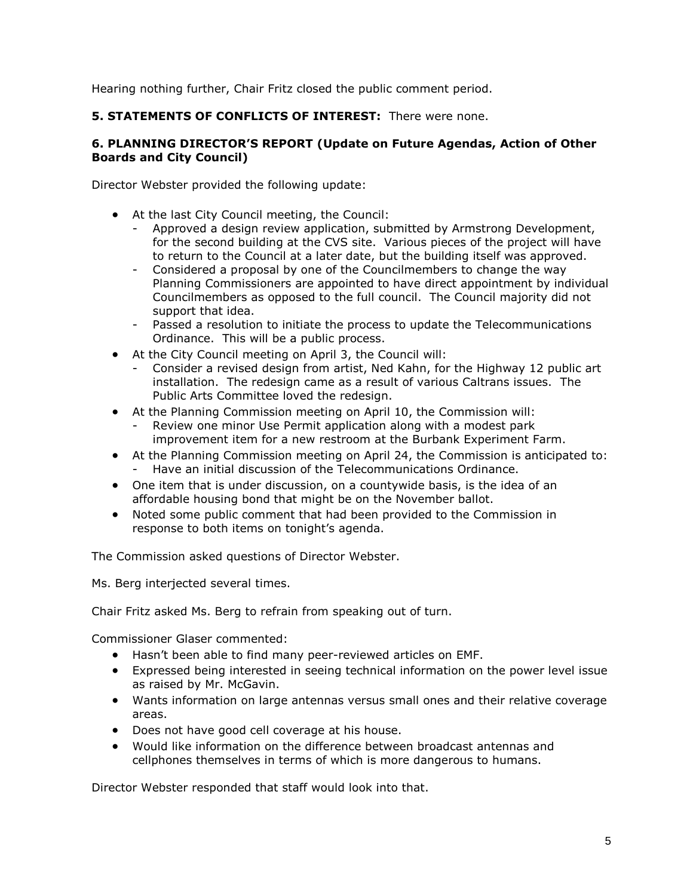Hearing nothing further, Chair Fritz closed the public comment period.

## **5. STATEMENTS OF CONFLICTS OF INTEREST:** There were none.

#### **6. PLANNING DIRECTOR'S REPORT (Update on Future Agendas, Action of Other Boards and City Council)**

Director Webster provided the following update:

- At the last City Council meeting, the Council:
	- Approved a design review application, submitted by Armstrong Development, for the second building at the CVS site. Various pieces of the project will have to return to the Council at a later date, but the building itself was approved.
	- Considered a proposal by one of the Councilmembers to change the way Planning Commissioners are appointed to have direct appointment by individual Councilmembers as opposed to the full council. The Council majority did not support that idea.
	- Passed a resolution to initiate the process to update the Telecommunications Ordinance. This will be a public process.
- At the City Council meeting on April 3, the Council will:
	- Consider a revised design from artist, Ned Kahn, for the Highway 12 public art installation. The redesign came as a result of various Caltrans issues. The Public Arts Committee loved the redesign.
- At the Planning Commission meeting on April 10, the Commission will:
	- Review one minor Use Permit application along with a modest park improvement item for a new restroom at the Burbank Experiment Farm.
- At the Planning Commission meeting on April 24, the Commission is anticipated to: - Have an initial discussion of the Telecommunications Ordinance.
- One item that is under discussion, on a countywide basis, is the idea of an affordable housing bond that might be on the November ballot.
- Noted some public comment that had been provided to the Commission in response to both items on tonight's agenda.

The Commission asked questions of Director Webster.

Ms. Berg interjected several times.

Chair Fritz asked Ms. Berg to refrain from speaking out of turn.

Commissioner Glaser commented:

- Hasn't been able to find many peer-reviewed articles on EMF.
- Expressed being interested in seeing technical information on the power level issue as raised by Mr. McGavin.
- Wants information on large antennas versus small ones and their relative coverage areas.
- Does not have good cell coverage at his house.
- Would like information on the difference between broadcast antennas and cellphones themselves in terms of which is more dangerous to humans.

Director Webster responded that staff would look into that.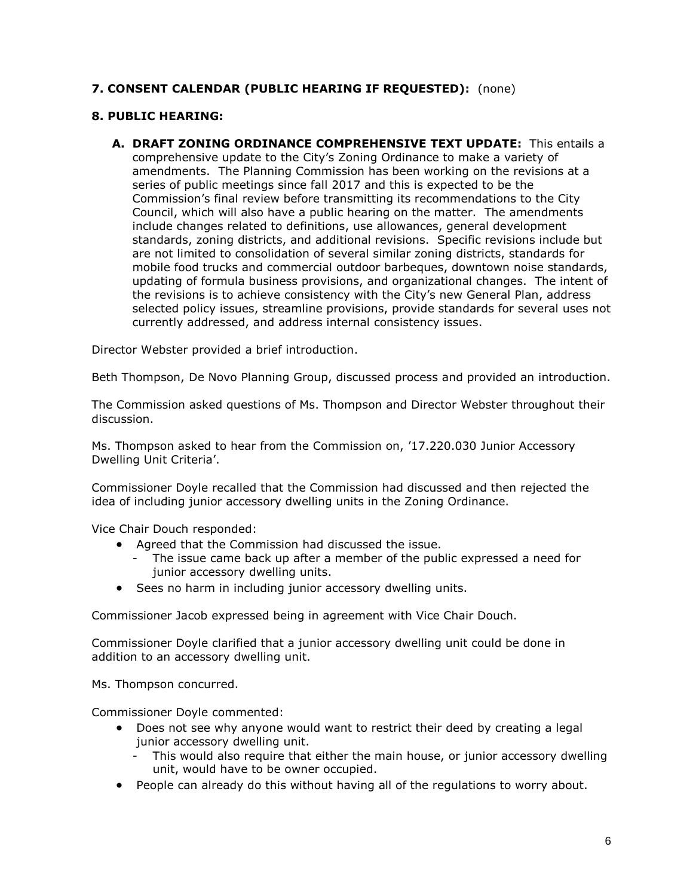# **7. CONSENT CALENDAR (PUBLIC HEARING IF REQUESTED):** (none)

### **8. PUBLIC HEARING:**

**A. DRAFT ZONING ORDINANCE COMPREHENSIVE TEXT UPDATE:** This entails a comprehensive update to the City's Zoning Ordinance to make a variety of amendments. The Planning Commission has been working on the revisions at a series of public meetings since fall 2017 and this is expected to be the Commission's final review before transmitting its recommendations to the City Council, which will also have a public hearing on the matter. The amendments include changes related to definitions, use allowances, general development standards, zoning districts, and additional revisions. Specific revisions include but are not limited to consolidation of several similar zoning districts, standards for mobile food trucks and commercial outdoor barbeques, downtown noise standards, updating of formula business provisions, and organizational changes. The intent of the revisions is to achieve consistency with the City's new General Plan, address selected policy issues, streamline provisions, provide standards for several uses not currently addressed, and address internal consistency issues.

Director Webster provided a brief introduction.

Beth Thompson, De Novo Planning Group, discussed process and provided an introduction.

The Commission asked questions of Ms. Thompson and Director Webster throughout their discussion.

Ms. Thompson asked to hear from the Commission on, '17.220.030 Junior Accessory Dwelling Unit Criteria'.

Commissioner Doyle recalled that the Commission had discussed and then rejected the idea of including junior accessory dwelling units in the Zoning Ordinance.

Vice Chair Douch responded:

- Agreed that the Commission had discussed the issue.
	- The issue came back up after a member of the public expressed a need for junior accessory dwelling units.
- Sees no harm in including junior accessory dwelling units.

Commissioner Jacob expressed being in agreement with Vice Chair Douch.

Commissioner Doyle clarified that a junior accessory dwelling unit could be done in addition to an accessory dwelling unit.

Ms. Thompson concurred.

Commissioner Doyle commented:

- Does not see why anyone would want to restrict their deed by creating a legal junior accessory dwelling unit.
	- This would also require that either the main house, or junior accessory dwelling unit, would have to be owner occupied.
- People can already do this without having all of the regulations to worry about.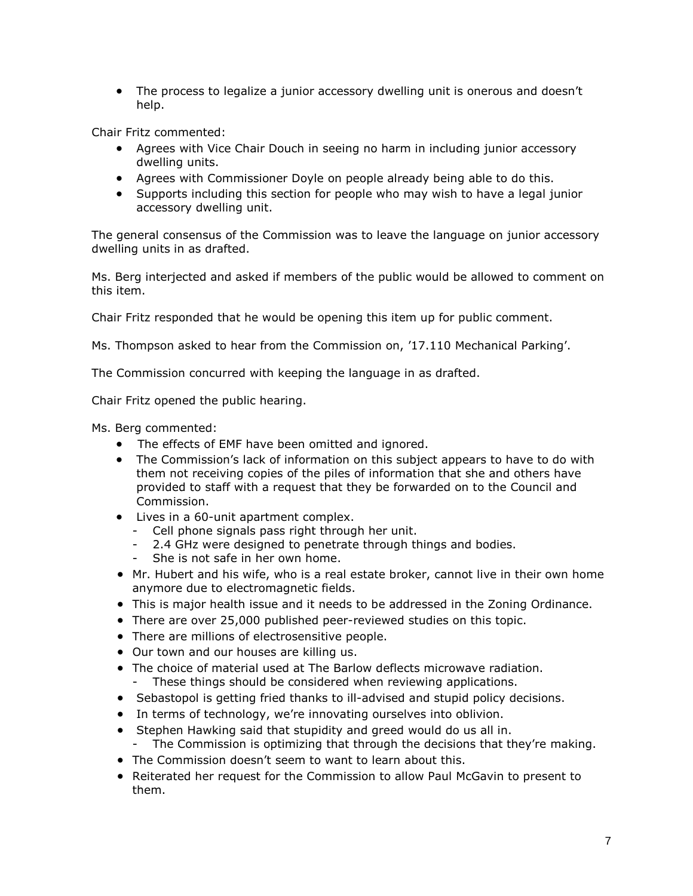The process to legalize a junior accessory dwelling unit is onerous and doesn't help.

Chair Fritz commented:

- Agrees with Vice Chair Douch in seeing no harm in including junior accessory dwelling units.
- Agrees with Commissioner Doyle on people already being able to do this.
- Supports including this section for people who may wish to have a legal junior accessory dwelling unit.

The general consensus of the Commission was to leave the language on junior accessory dwelling units in as drafted.

Ms. Berg interjected and asked if members of the public would be allowed to comment on this item.

Chair Fritz responded that he would be opening this item up for public comment.

Ms. Thompson asked to hear from the Commission on, '17.110 Mechanical Parking'.

The Commission concurred with keeping the language in as drafted.

Chair Fritz opened the public hearing.

Ms. Berg commented:

- The effects of EMF have been omitted and ignored.
- The Commission's lack of information on this subject appears to have to do with them not receiving copies of the piles of information that she and others have provided to staff with a request that they be forwarded on to the Council and Commission.
- Lives in a 60-unit apartment complex.
	- Cell phone signals pass right through her unit.
	- 2.4 GHz were designed to penetrate through things and bodies.
	- She is not safe in her own home.
- Mr. Hubert and his wife, who is a real estate broker, cannot live in their own home anymore due to electromagnetic fields.
- This is major health issue and it needs to be addressed in the Zoning Ordinance.
- There are over 25,000 published peer-reviewed studies on this topic.
- There are millions of electrosensitive people.
- Our town and our houses are killing us.
- The choice of material used at The Barlow deflects microwave radiation. - These things should be considered when reviewing applications.
- Sebastopol is getting fried thanks to ill-advised and stupid policy decisions.
- In terms of technology, we're innovating ourselves into oblivion.
- Stephen Hawking said that stupidity and greed would do us all in. - The Commission is optimizing that through the decisions that they're making.
- The Commission doesn't seem to want to learn about this.
- Reiterated her request for the Commission to allow Paul McGavin to present to them.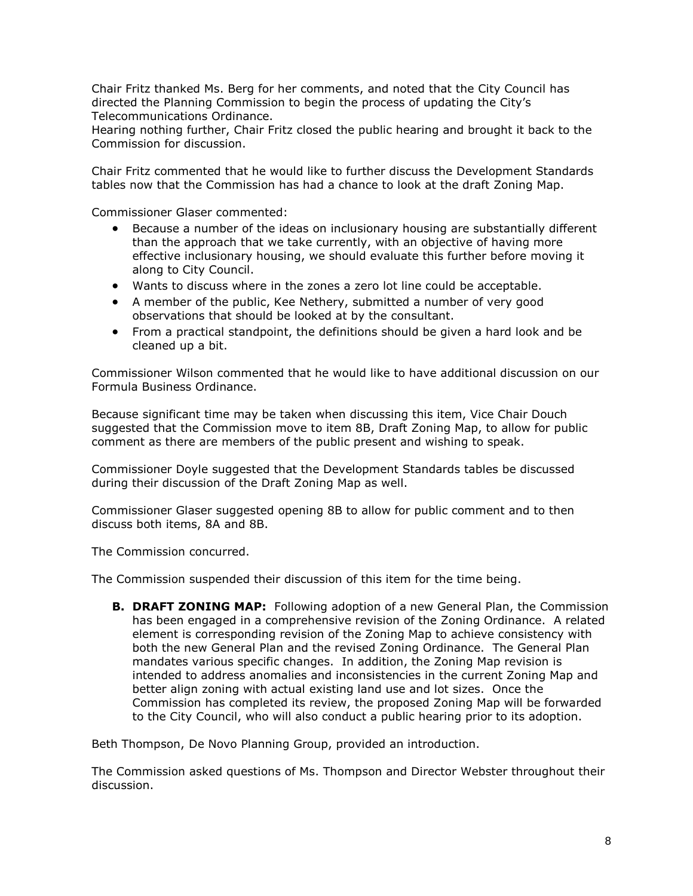Chair Fritz thanked Ms. Berg for her comments, and noted that the City Council has directed the Planning Commission to begin the process of updating the City's Telecommunications Ordinance.

Hearing nothing further, Chair Fritz closed the public hearing and brought it back to the Commission for discussion.

Chair Fritz commented that he would like to further discuss the Development Standards tables now that the Commission has had a chance to look at the draft Zoning Map.

Commissioner Glaser commented:

- Because a number of the ideas on inclusionary housing are substantially different than the approach that we take currently, with an objective of having more effective inclusionary housing, we should evaluate this further before moving it along to City Council.
- Wants to discuss where in the zones a zero lot line could be acceptable.
- A member of the public, Kee Nethery, submitted a number of very good observations that should be looked at by the consultant.
- From a practical standpoint, the definitions should be given a hard look and be cleaned up a bit.

Commissioner Wilson commented that he would like to have additional discussion on our Formula Business Ordinance.

Because significant time may be taken when discussing this item, Vice Chair Douch suggested that the Commission move to item 8B, Draft Zoning Map, to allow for public comment as there are members of the public present and wishing to speak.

Commissioner Doyle suggested that the Development Standards tables be discussed during their discussion of the Draft Zoning Map as well.

Commissioner Glaser suggested opening 8B to allow for public comment and to then discuss both items, 8A and 8B.

The Commission concurred.

The Commission suspended their discussion of this item for the time being.

**B. DRAFT ZONING MAP:** Following adoption of a new General Plan, the Commission has been engaged in a comprehensive revision of the Zoning Ordinance. A related element is corresponding revision of the Zoning Map to achieve consistency with both the new General Plan and the revised Zoning Ordinance. The General Plan mandates various specific changes. In addition, the Zoning Map revision is intended to address anomalies and inconsistencies in the current Zoning Map and better align zoning with actual existing land use and lot sizes. Once the Commission has completed its review, the proposed Zoning Map will be forwarded to the City Council, who will also conduct a public hearing prior to its adoption.

Beth Thompson, De Novo Planning Group, provided an introduction.

The Commission asked questions of Ms. Thompson and Director Webster throughout their discussion.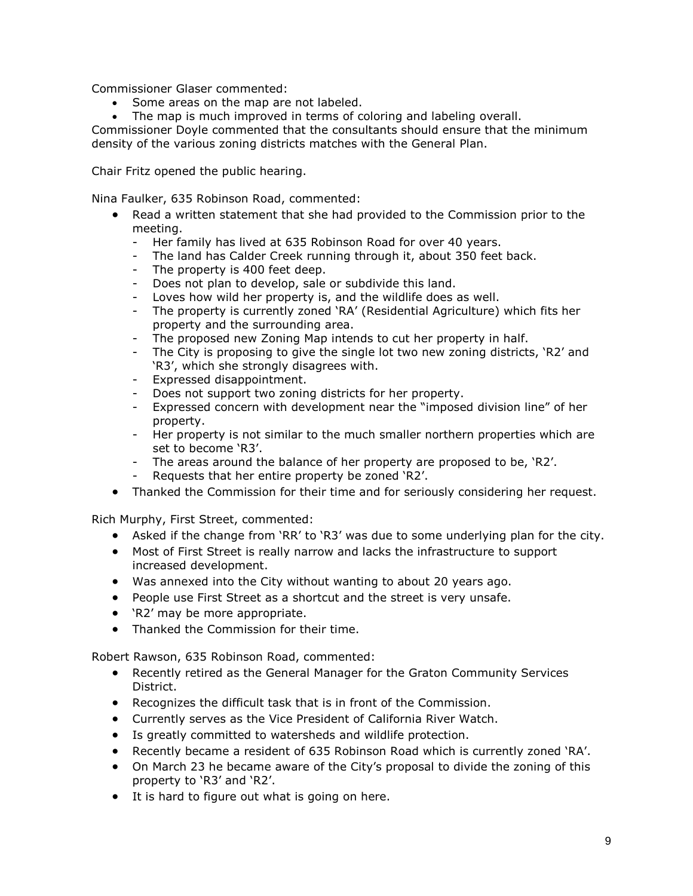Commissioner Glaser commented:

- Some areas on the map are not labeled.
- The map is much improved in terms of coloring and labeling overall.

Commissioner Doyle commented that the consultants should ensure that the minimum density of the various zoning districts matches with the General Plan.

Chair Fritz opened the public hearing.

Nina Faulker, 635 Robinson Road, commented:

- Read a written statement that she had provided to the Commission prior to the meeting.
	- Her family has lived at 635 Robinson Road for over 40 years.
	- The land has Calder Creek running through it, about 350 feet back.
	- The property is 400 feet deep.
	- Does not plan to develop, sale or subdivide this land.
	- Loves how wild her property is, and the wildlife does as well.
	- The property is currently zoned 'RA' (Residential Agriculture) which fits her property and the surrounding area.
	- The proposed new Zoning Map intends to cut her property in half.
	- The City is proposing to give the single lot two new zoning districts, 'R2' and 'R3', which she strongly disagrees with.
	- Expressed disappointment.
	- Does not support two zoning districts for her property.
	- Expressed concern with development near the "imposed division line" of her property.
	- Her property is not similar to the much smaller northern properties which are set to become 'R3'.
	- The areas around the balance of her property are proposed to be, 'R2'.
	- Requests that her entire property be zoned 'R2'.
- Thanked the Commission for their time and for seriously considering her request.

Rich Murphy, First Street, commented:

- Asked if the change from 'RR' to 'R3' was due to some underlying plan for the city.
- Most of First Street is really narrow and lacks the infrastructure to support increased development.
- Was annexed into the City without wanting to about 20 years ago.
- People use First Street as a shortcut and the street is very unsafe.
- 'R2' may be more appropriate.
- Thanked the Commission for their time.

Robert Rawson, 635 Robinson Road, commented:

- Recently retired as the General Manager for the Graton Community Services District.
- Recognizes the difficult task that is in front of the Commission.
- Currently serves as the Vice President of California River Watch.
- Is greatly committed to watersheds and wildlife protection.
- Recently became a resident of 635 Robinson Road which is currently zoned 'RA'.
- On March 23 he became aware of the City's proposal to divide the zoning of this property to 'R3' and 'R2'.
- It is hard to figure out what is going on here.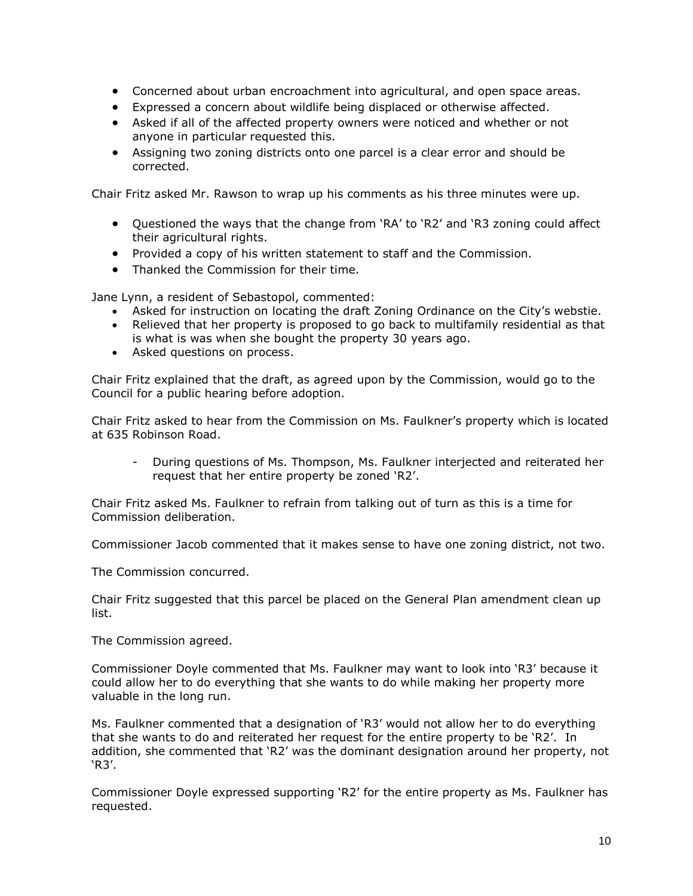- Concerned about urban encroachment into agricultural, and open space areas.
- Expressed a concern about wildlife being displaced or otherwise affected.
- Asked if all of the affected property owners were noticed and whether or not anyone in particular requested this.
- Assigning two zoning districts onto one parcel is a clear error and should be corrected.

Chair Fritz asked Mr. Rawson to wrap up his comments as his three minutes were up.

- Questioned the ways that the change from 'RA' to 'R2' and 'R3 zoning could affect their agricultural rights.
- Provided a copy of his written statement to staff and the Commission.
- Thanked the Commission for their time.

Jane Lynn, a resident of Sebastopol, commented:

- Asked for instruction on locating the draft Zoning Ordinance on the City's webstie.
- Relieved that her property is proposed to go back to multifamily residential as that is what is was when she bought the property 30 years ago.
- Asked questions on process.

Chair Fritz explained that the draft, as agreed upon by the Commission, would go to the Council for a public hearing before adoption.

Chair Fritz asked to hear from the Commission on Ms. Faulkner's property which is located at 635 Robinson Road.

- During questions of Ms. Thompson, Ms. Faulkner interjected and reiterated her request that her entire property be zoned 'R2'.

Chair Fritz asked Ms. Faulkner to refrain from talking out of turn as this is a time for Commission deliberation.

Commissioner Jacob commented that it makes sense to have one zoning district, not two.

The Commission concurred.

Chair Fritz suggested that this parcel be placed on the General Plan amendment clean up list.

The Commission agreed.

Commissioner Doyle commented that Ms. Faulkner may want to look into 'R3' because it could allow her to do everything that she wants to do while making her property more valuable in the long run.

Ms. Faulkner commented that a designation of 'R3' would not allow her to do everything that she wants to do and reiterated her request for the entire property to be 'R2'. In addition, she commented that 'R2' was the dominant designation around her property, not 'R3'.

Commissioner Doyle expressed supporting 'R2' for the entire property as Ms. Faulkner has requested.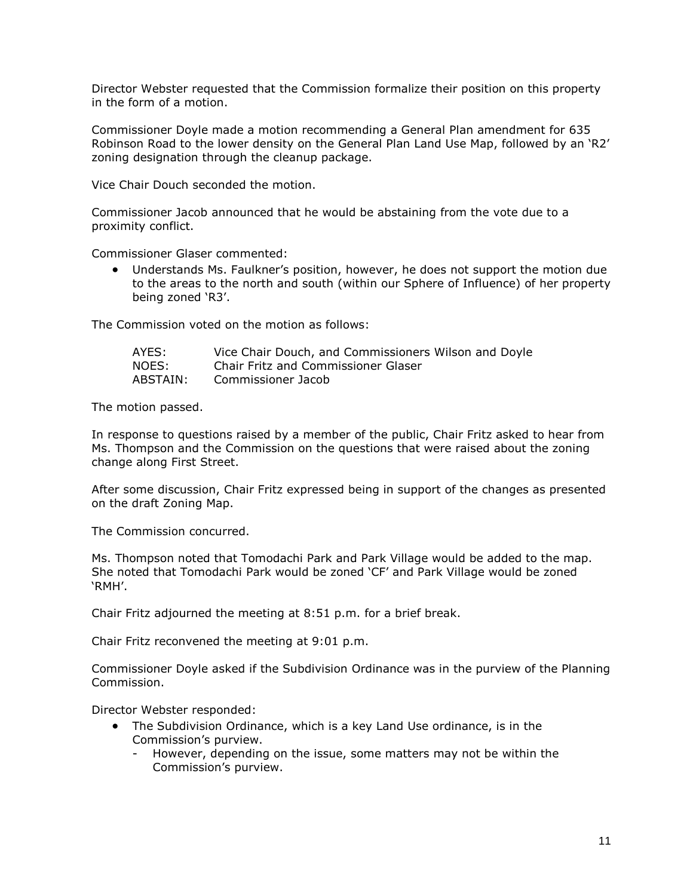Director Webster requested that the Commission formalize their position on this property in the form of a motion.

Commissioner Doyle made a motion recommending a General Plan amendment for 635 Robinson Road to the lower density on the General Plan Land Use Map, followed by an 'R2' zoning designation through the cleanup package.

Vice Chair Douch seconded the motion.

Commissioner Jacob announced that he would be abstaining from the vote due to a proximity conflict.

Commissioner Glaser commented:

 Understands Ms. Faulkner's position, however, he does not support the motion due to the areas to the north and south (within our Sphere of Influence) of her property being zoned 'R3'.

The Commission voted on the motion as follows:

| AYES:    | Vice Chair Douch, and Commissioners Wilson and Doyle |
|----------|------------------------------------------------------|
| NOES:    | <b>Chair Fritz and Commissioner Glaser</b>           |
| ABSTAIN: | Commissioner Jacob                                   |

The motion passed.

In response to questions raised by a member of the public, Chair Fritz asked to hear from Ms. Thompson and the Commission on the questions that were raised about the zoning change along First Street.

After some discussion, Chair Fritz expressed being in support of the changes as presented on the draft Zoning Map.

The Commission concurred.

Ms. Thompson noted that Tomodachi Park and Park Village would be added to the map. She noted that Tomodachi Park would be zoned 'CF' and Park Village would be zoned 'RMH'.

Chair Fritz adjourned the meeting at 8:51 p.m. for a brief break.

Chair Fritz reconvened the meeting at 9:01 p.m.

Commissioner Doyle asked if the Subdivision Ordinance was in the purview of the Planning Commission.

Director Webster responded:

- The Subdivision Ordinance, which is a key Land Use ordinance, is in the Commission's purview.
	- However, depending on the issue, some matters may not be within the Commission's purview.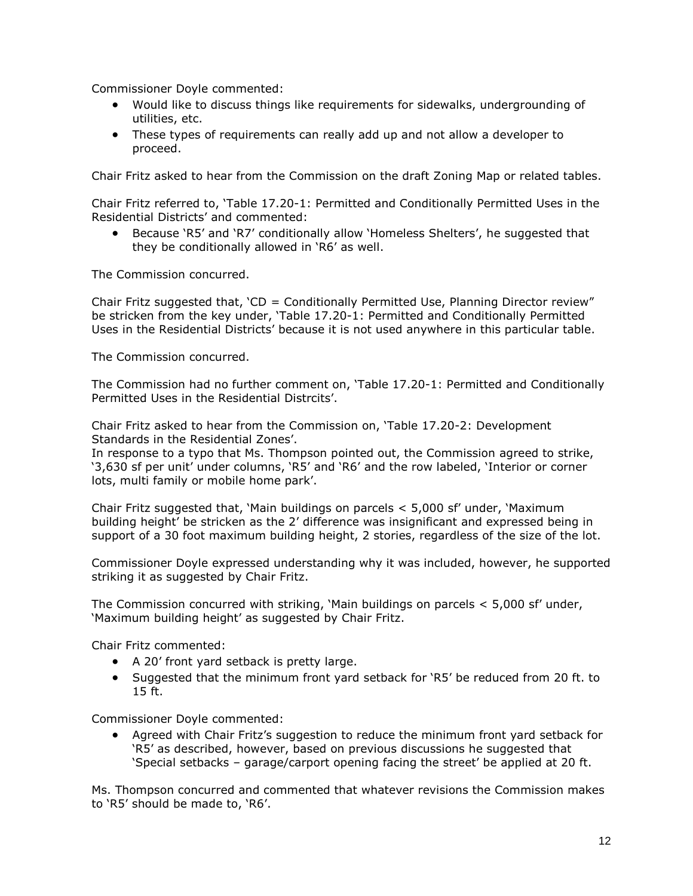Commissioner Doyle commented:

- Would like to discuss things like requirements for sidewalks, undergrounding of utilities, etc.
- These types of requirements can really add up and not allow a developer to proceed.

Chair Fritz asked to hear from the Commission on the draft Zoning Map or related tables.

Chair Fritz referred to, 'Table 17.20-1: Permitted and Conditionally Permitted Uses in the Residential Districts' and commented:

 Because 'R5' and 'R7' conditionally allow 'Homeless Shelters', he suggested that they be conditionally allowed in 'R6' as well.

The Commission concurred.

Chair Fritz suggested that, 'CD = Conditionally Permitted Use, Planning Director review" be stricken from the key under, 'Table 17.20-1: Permitted and Conditionally Permitted Uses in the Residential Districts' because it is not used anywhere in this particular table.

The Commission concurred.

The Commission had no further comment on, 'Table 17.20-1: Permitted and Conditionally Permitted Uses in the Residential Distrcits'.

Chair Fritz asked to hear from the Commission on, 'Table 17.20-2: Development Standards in the Residential Zones'.

In response to a typo that Ms. Thompson pointed out, the Commission agreed to strike, '3,630 sf per unit' under columns, 'R5' and 'R6' and the row labeled, 'Interior or corner lots, multi family or mobile home park'.

Chair Fritz suggested that, 'Main buildings on parcels < 5,000 sf' under, 'Maximum building height' be stricken as the 2' difference was insignificant and expressed being in support of a 30 foot maximum building height, 2 stories, regardless of the size of the lot.

Commissioner Doyle expressed understanding why it was included, however, he supported striking it as suggested by Chair Fritz.

The Commission concurred with striking, 'Main buildings on parcels < 5,000 sf' under, 'Maximum building height' as suggested by Chair Fritz.

Chair Fritz commented:

- A 20' front yard setback is pretty large.
- Suggested that the minimum front yard setback for 'R5' be reduced from 20 ft. to 15 ft.

Commissioner Doyle commented:

 Agreed with Chair Fritz's suggestion to reduce the minimum front yard setback for 'R5' as described, however, based on previous discussions he suggested that 'Special setbacks – garage/carport opening facing the street' be applied at 20 ft.

Ms. Thompson concurred and commented that whatever revisions the Commission makes to 'R5' should be made to, 'R6'.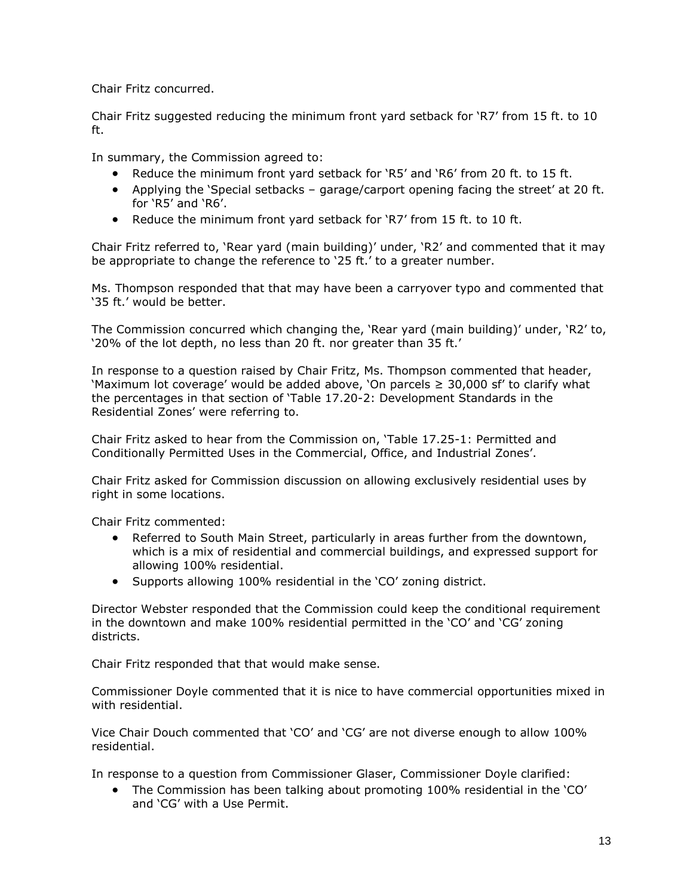Chair Fritz concurred.

Chair Fritz suggested reducing the minimum front yard setback for 'R7' from 15 ft. to 10 ft.

In summary, the Commission agreed to:

- Reduce the minimum front yard setback for 'R5' and 'R6' from 20 ft. to 15 ft.
- Applying the 'Special setbacks garage/carport opening facing the street' at 20 ft. for 'R5' and 'R6'.
- Reduce the minimum front yard setback for 'R7' from 15 ft. to 10 ft.

Chair Fritz referred to, 'Rear yard (main building)' under, 'R2' and commented that it may be appropriate to change the reference to '25 ft.' to a greater number.

Ms. Thompson responded that that may have been a carryover typo and commented that '35 ft.' would be better.

The Commission concurred which changing the, 'Rear yard (main building)' under, 'R2' to, '20% of the lot depth, no less than 20 ft. nor greater than 35 ft.'

In response to a question raised by Chair Fritz, Ms. Thompson commented that header, 'Maximum lot coverage' would be added above, 'On parcels  $\geq$  30,000 sf' to clarify what the percentages in that section of 'Table 17.20-2: Development Standards in the Residential Zones' were referring to.

Chair Fritz asked to hear from the Commission on, 'Table 17.25-1: Permitted and Conditionally Permitted Uses in the Commercial, Office, and Industrial Zones'.

Chair Fritz asked for Commission discussion on allowing exclusively residential uses by right in some locations.

Chair Fritz commented:

- Referred to South Main Street, particularly in areas further from the downtown, which is a mix of residential and commercial buildings, and expressed support for allowing 100% residential.
- Supports allowing 100% residential in the 'CO' zoning district.

Director Webster responded that the Commission could keep the conditional requirement in the downtown and make 100% residential permitted in the 'CO' and 'CG' zoning districts.

Chair Fritz responded that that would make sense.

Commissioner Doyle commented that it is nice to have commercial opportunities mixed in with residential.

Vice Chair Douch commented that 'CO' and 'CG' are not diverse enough to allow 100% residential.

In response to a question from Commissioner Glaser, Commissioner Doyle clarified:

 The Commission has been talking about promoting 100% residential in the 'CO' and 'CG' with a Use Permit.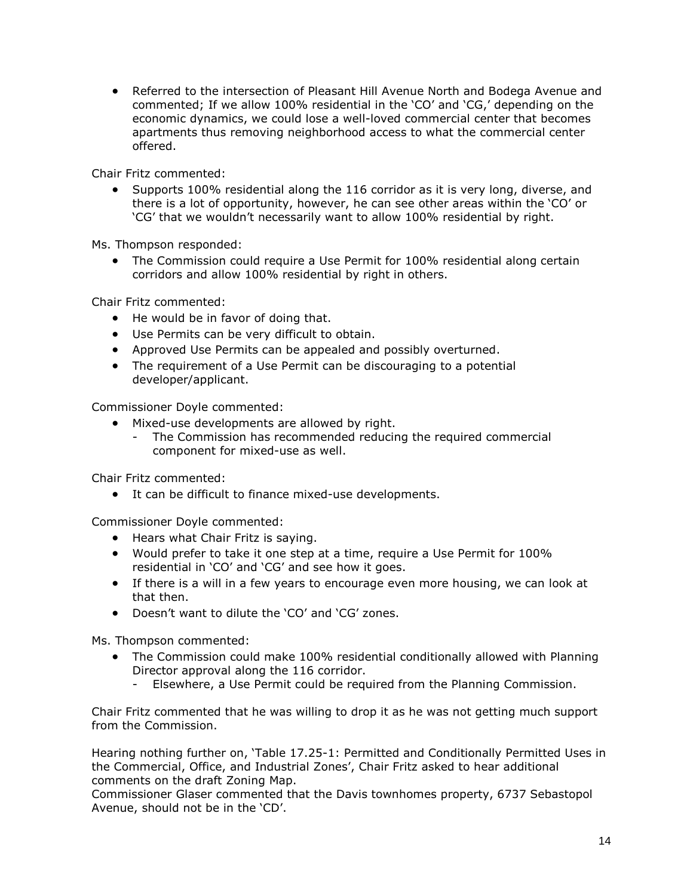Referred to the intersection of Pleasant Hill Avenue North and Bodega Avenue and commented; If we allow 100% residential in the 'CO' and 'CG,' depending on the economic dynamics, we could lose a well-loved commercial center that becomes apartments thus removing neighborhood access to what the commercial center offered.

Chair Fritz commented:

 Supports 100% residential along the 116 corridor as it is very long, diverse, and there is a lot of opportunity, however, he can see other areas within the 'CO' or 'CG' that we wouldn't necessarily want to allow 100% residential by right.

Ms. Thompson responded:

 The Commission could require a Use Permit for 100% residential along certain corridors and allow 100% residential by right in others.

Chair Fritz commented:

- He would be in favor of doing that.
- Use Permits can be very difficult to obtain.
- Approved Use Permits can be appealed and possibly overturned.
- The requirement of a Use Permit can be discouraging to a potential developer/applicant.

Commissioner Doyle commented:

- Mixed-use developments are allowed by right.
	- The Commission has recommended reducing the required commercial component for mixed-use as well.

Chair Fritz commented:

It can be difficult to finance mixed-use developments.

Commissioner Doyle commented:

- Hears what Chair Fritz is saying.
- Would prefer to take it one step at a time, require a Use Permit for 100% residential in 'CO' and 'CG' and see how it goes.
- If there is a will in a few years to encourage even more housing, we can look at that then.
- Doesn't want to dilute the 'CO' and 'CG' zones.

Ms. Thompson commented:

- The Commission could make 100% residential conditionally allowed with Planning Director approval along the 116 corridor.
	- Elsewhere, a Use Permit could be required from the Planning Commission.

Chair Fritz commented that he was willing to drop it as he was not getting much support from the Commission.

Hearing nothing further on, 'Table 17.25-1: Permitted and Conditionally Permitted Uses in the Commercial, Office, and Industrial Zones', Chair Fritz asked to hear additional comments on the draft Zoning Map.

Commissioner Glaser commented that the Davis townhomes property, 6737 Sebastopol Avenue, should not be in the 'CD'.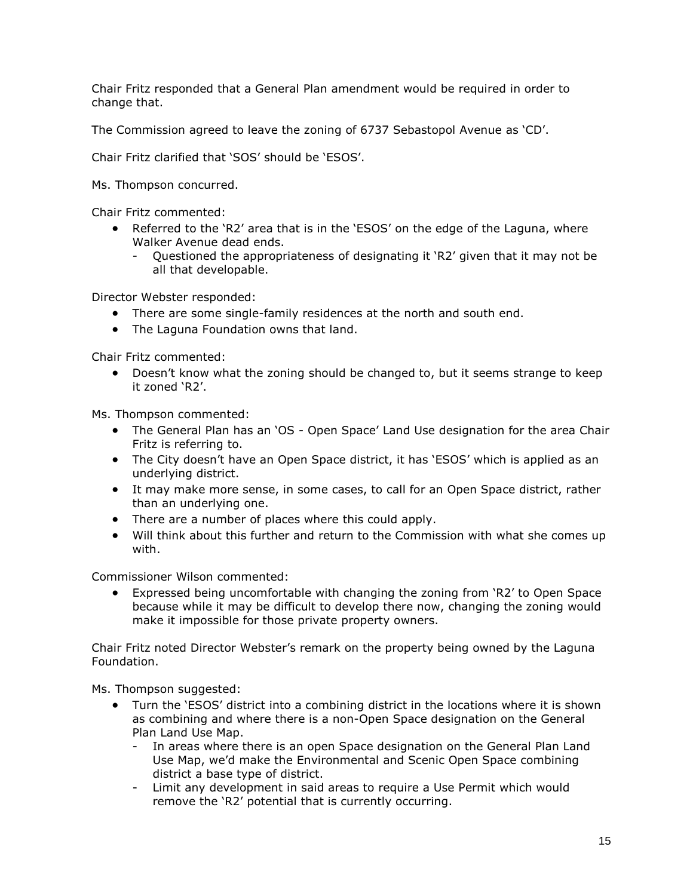Chair Fritz responded that a General Plan amendment would be required in order to change that.

The Commission agreed to leave the zoning of 6737 Sebastopol Avenue as 'CD'.

Chair Fritz clarified that 'SOS' should be 'ESOS'.

Ms. Thompson concurred.

Chair Fritz commented:

- EXCREE FIRM FIRM FIRM  $R2'$  area that is in the 'ESOS' on the edge of the Laguna, where Walker Avenue dead ends.
	- Questioned the appropriateness of designating it 'R2' given that it may not be all that developable.

Director Webster responded:

- There are some single-family residences at the north and south end.
- The Laguna Foundation owns that land.

Chair Fritz commented:

 Doesn't know what the zoning should be changed to, but it seems strange to keep it zoned 'R2'.

Ms. Thompson commented:

- The General Plan has an 'OS Open Space' Land Use designation for the area Chair Fritz is referring to.
- The City doesn't have an Open Space district, it has 'ESOS' which is applied as an underlying district.
- It may make more sense, in some cases, to call for an Open Space district, rather than an underlying one.
- There are a number of places where this could apply.
- Will think about this further and return to the Commission with what she comes up with.

Commissioner Wilson commented:

 Expressed being uncomfortable with changing the zoning from 'R2' to Open Space because while it may be difficult to develop there now, changing the zoning would make it impossible for those private property owners.

Chair Fritz noted Director Webster's remark on the property being owned by the Laguna Foundation.

Ms. Thompson suggested:

- Turn the 'ESOS' district into a combining district in the locations where it is shown as combining and where there is a non-Open Space designation on the General Plan Land Use Map.
	- In areas where there is an open Space designation on the General Plan Land Use Map, we'd make the Environmental and Scenic Open Space combining district a base type of district.
	- Limit any development in said areas to require a Use Permit which would remove the 'R2' potential that is currently occurring.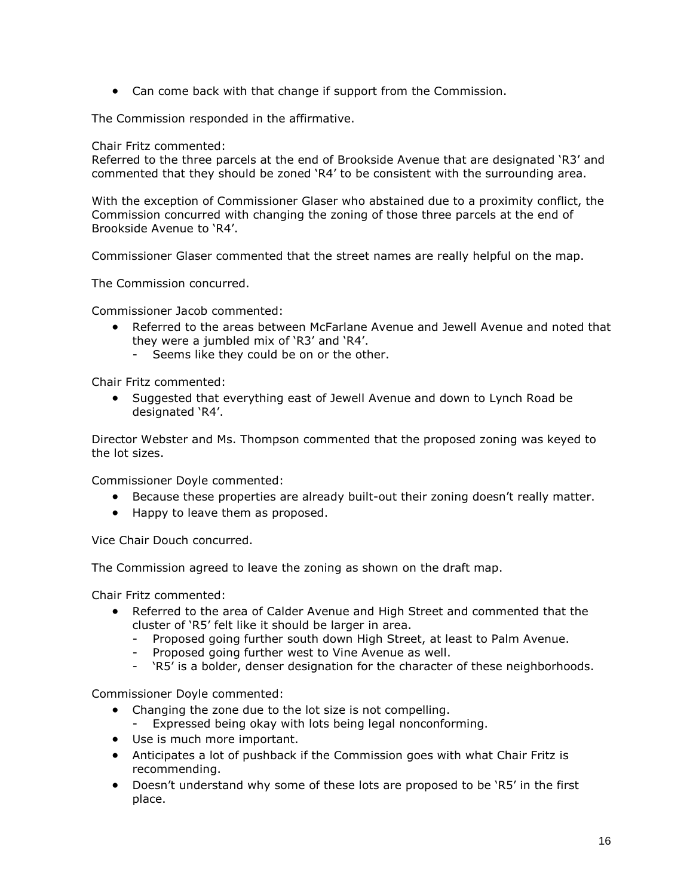Can come back with that change if support from the Commission.

The Commission responded in the affirmative.

Chair Fritz commented:

Referred to the three parcels at the end of Brookside Avenue that are designated 'R3' and commented that they should be zoned 'R4' to be consistent with the surrounding area.

With the exception of Commissioner Glaser who abstained due to a proximity conflict, the Commission concurred with changing the zoning of those three parcels at the end of Brookside Avenue to 'R4'.

Commissioner Glaser commented that the street names are really helpful on the map.

The Commission concurred.

Commissioner Jacob commented:

- Referred to the areas between McFarlane Avenue and Jewell Avenue and noted that they were a jumbled mix of 'R3' and 'R4'.
	- Seems like they could be on or the other.

Chair Fritz commented:

 Suggested that everything east of Jewell Avenue and down to Lynch Road be designated 'R4'.

Director Webster and Ms. Thompson commented that the proposed zoning was keyed to the lot sizes.

Commissioner Doyle commented:

- Because these properties are already built-out their zoning doesn't really matter.
- Happy to leave them as proposed.

Vice Chair Douch concurred.

The Commission agreed to leave the zoning as shown on the draft map.

Chair Fritz commented:

- Referred to the area of Calder Avenue and High Street and commented that the cluster of 'R5' felt like it should be larger in area.
	- Proposed going further south down High Street, at least to Palm Avenue.
	- Proposed going further west to Vine Avenue as well.
	- 'R5' is a bolder, denser designation for the character of these neighborhoods.

Commissioner Doyle commented:

- Changing the zone due to the lot size is not compelling.
- Expressed being okay with lots being legal nonconforming.
- Use is much more important.
- Anticipates a lot of pushback if the Commission goes with what Chair Fritz is recommending.
- Doesn't understand why some of these lots are proposed to be 'R5' in the first place.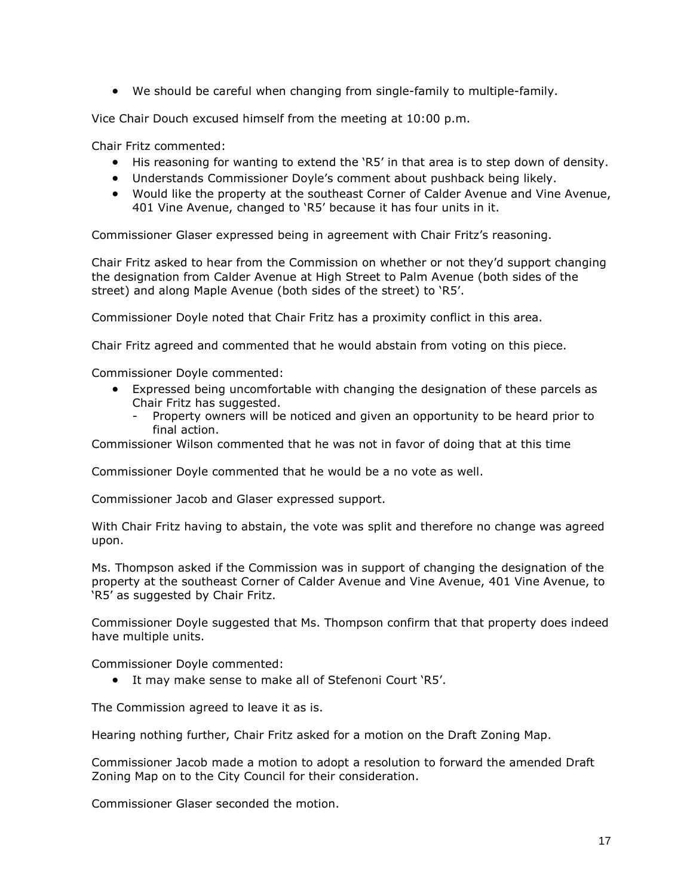We should be careful when changing from single-family to multiple-family.

Vice Chair Douch excused himself from the meeting at 10:00 p.m.

Chair Fritz commented:

- His reasoning for wanting to extend the 'R5' in that area is to step down of density.
- Understands Commissioner Doyle's comment about pushback being likely.
- Would like the property at the southeast Corner of Calder Avenue and Vine Avenue, 401 Vine Avenue, changed to 'R5' because it has four units in it.

Commissioner Glaser expressed being in agreement with Chair Fritz's reasoning.

Chair Fritz asked to hear from the Commission on whether or not they'd support changing the designation from Calder Avenue at High Street to Palm Avenue (both sides of the street) and along Maple Avenue (both sides of the street) to 'R5'.

Commissioner Doyle noted that Chair Fritz has a proximity conflict in this area.

Chair Fritz agreed and commented that he would abstain from voting on this piece.

Commissioner Doyle commented:

- Expressed being uncomfortable with changing the designation of these parcels as Chair Fritz has suggested.
	- Property owners will be noticed and given an opportunity to be heard prior to final action.

Commissioner Wilson commented that he was not in favor of doing that at this time

Commissioner Doyle commented that he would be a no vote as well.

Commissioner Jacob and Glaser expressed support.

With Chair Fritz having to abstain, the vote was split and therefore no change was agreed upon.

Ms. Thompson asked if the Commission was in support of changing the designation of the property at the southeast Corner of Calder Avenue and Vine Avenue, 401 Vine Avenue, to 'R5' as suggested by Chair Fritz.

Commissioner Doyle suggested that Ms. Thompson confirm that that property does indeed have multiple units.

Commissioner Doyle commented:

It may make sense to make all of Stefenoni Court 'R5'.

The Commission agreed to leave it as is.

Hearing nothing further, Chair Fritz asked for a motion on the Draft Zoning Map.

Commissioner Jacob made a motion to adopt a resolution to forward the amended Draft Zoning Map on to the City Council for their consideration.

Commissioner Glaser seconded the motion.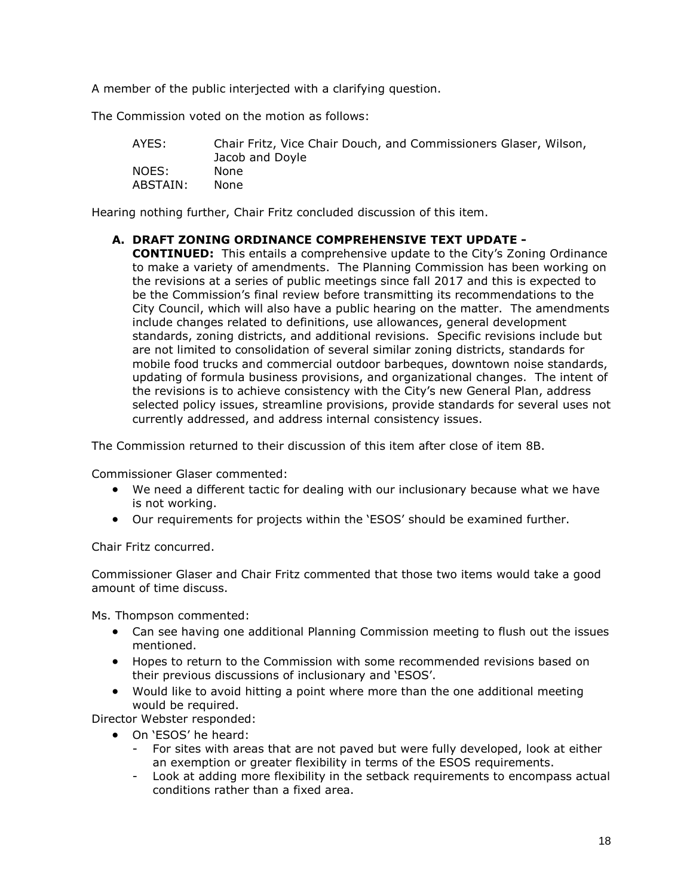A member of the public interjected with a clarifying question.

The Commission voted on the motion as follows:

| AYES:    | Chair Fritz, Vice Chair Douch, and Commissioners Glaser, Wilson,<br>Jacob and Doyle |
|----------|-------------------------------------------------------------------------------------|
| NOES:    | <b>None</b>                                                                         |
| ABSTAIN: | None                                                                                |

Hearing nothing further, Chair Fritz concluded discussion of this item.

#### **A. DRAFT ZONING ORDINANCE COMPREHENSIVE TEXT UPDATE -**

**CONTINUED:** This entails a comprehensive update to the City's Zoning Ordinance to make a variety of amendments. The Planning Commission has been working on the revisions at a series of public meetings since fall 2017 and this is expected to be the Commission's final review before transmitting its recommendations to the City Council, which will also have a public hearing on the matter. The amendments include changes related to definitions, use allowances, general development standards, zoning districts, and additional revisions. Specific revisions include but are not limited to consolidation of several similar zoning districts, standards for mobile food trucks and commercial outdoor barbeques, downtown noise standards, updating of formula business provisions, and organizational changes. The intent of the revisions is to achieve consistency with the City's new General Plan, address selected policy issues, streamline provisions, provide standards for several uses not currently addressed, and address internal consistency issues.

The Commission returned to their discussion of this item after close of item 8B.

Commissioner Glaser commented:

- We need a different tactic for dealing with our inclusionary because what we have is not working.
- Our requirements for projects within the 'ESOS' should be examined further.

Chair Fritz concurred.

Commissioner Glaser and Chair Fritz commented that those two items would take a good amount of time discuss.

Ms. Thompson commented:

- Can see having one additional Planning Commission meeting to flush out the issues mentioned.
- Hopes to return to the Commission with some recommended revisions based on their previous discussions of inclusionary and 'ESOS'.
- Would like to avoid hitting a point where more than the one additional meeting would be required.

Director Webster responded:

- On 'ESOS' he heard:
	- For sites with areas that are not paved but were fully developed, look at either an exemption or greater flexibility in terms of the ESOS requirements.
	- Look at adding more flexibility in the setback requirements to encompass actual conditions rather than a fixed area.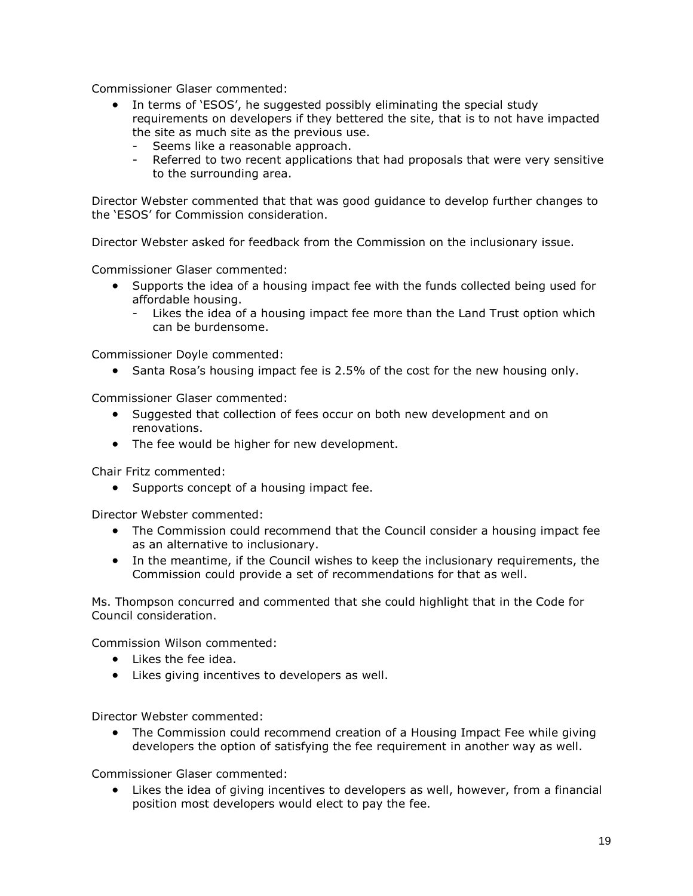Commissioner Glaser commented:

- In terms of 'ESOS', he suggested possibly eliminating the special study requirements on developers if they bettered the site, that is to not have impacted the site as much site as the previous use.
	- Seems like a reasonable approach.
	- Referred to two recent applications that had proposals that were very sensitive to the surrounding area.

Director Webster commented that that was good guidance to develop further changes to the 'ESOS' for Commission consideration.

Director Webster asked for feedback from the Commission on the inclusionary issue.

Commissioner Glaser commented:

- Supports the idea of a housing impact fee with the funds collected being used for affordable housing.
	- Likes the idea of a housing impact fee more than the Land Trust option which can be burdensome.

Commissioner Doyle commented:

• Santa Rosa's housing impact fee is 2.5% of the cost for the new housing only.

Commissioner Glaser commented:

- Suggested that collection of fees occur on both new development and on renovations.
- The fee would be higher for new development.

Chair Fritz commented:

• Supports concept of a housing impact fee.

Director Webster commented:

- The Commission could recommend that the Council consider a housing impact fee as an alternative to inclusionary.
- In the meantime, if the Council wishes to keep the inclusionary requirements, the Commission could provide a set of recommendations for that as well.

Ms. Thompson concurred and commented that she could highlight that in the Code for Council consideration.

Commission Wilson commented:

- Likes the fee idea.
- Likes giving incentives to developers as well.

Director Webster commented:

 The Commission could recommend creation of a Housing Impact Fee while giving developers the option of satisfying the fee requirement in another way as well.

Commissioner Glaser commented:

 Likes the idea of giving incentives to developers as well, however, from a financial position most developers would elect to pay the fee.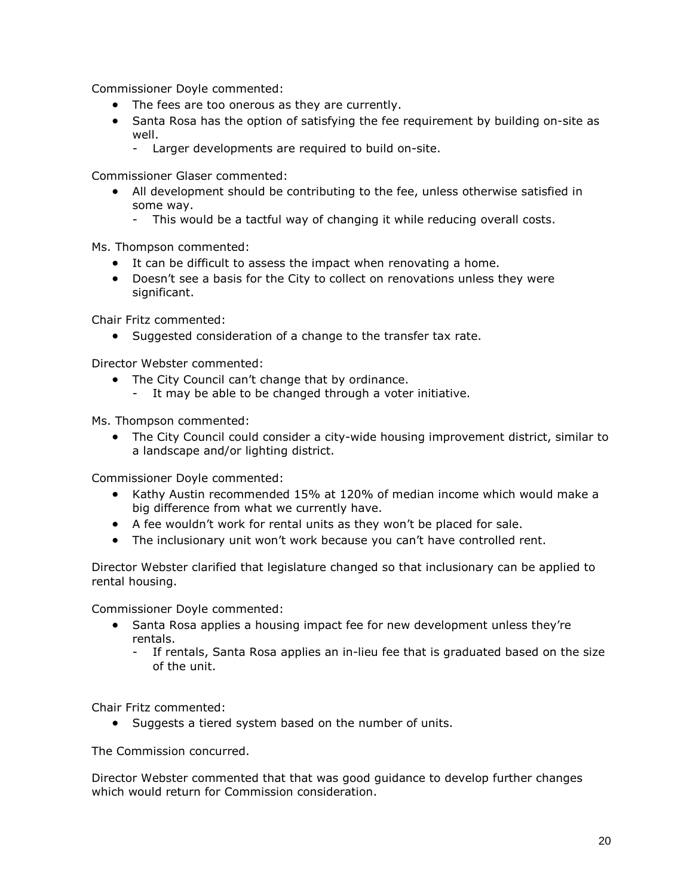Commissioner Doyle commented:

- The fees are too onerous as they are currently.
- Santa Rosa has the option of satisfying the fee requirement by building on-site as well.
	- Larger developments are required to build on-site.

Commissioner Glaser commented:

- All development should be contributing to the fee, unless otherwise satisfied in some way.
	- This would be a tactful way of changing it while reducing overall costs.

Ms. Thompson commented:

- It can be difficult to assess the impact when renovating a home.
- Doesn't see a basis for the City to collect on renovations unless they were significant.

Chair Fritz commented:

• Suggested consideration of a change to the transfer tax rate.

Director Webster commented:

- The City Council can't change that by ordinance.
	- It may be able to be changed through a voter initiative.

Ms. Thompson commented:

 The City Council could consider a city-wide housing improvement district, similar to a landscape and/or lighting district.

Commissioner Doyle commented:

- Kathy Austin recommended 15% at 120% of median income which would make a big difference from what we currently have.
- A fee wouldn't work for rental units as they won't be placed for sale.
- The inclusionary unit won't work because you can't have controlled rent.

Director Webster clarified that legislature changed so that inclusionary can be applied to rental housing.

Commissioner Doyle commented:

- Santa Rosa applies a housing impact fee for new development unless they're rentals.
	- If rentals, Santa Rosa applies an in-lieu fee that is graduated based on the size of the unit.

Chair Fritz commented:

• Suggests a tiered system based on the number of units.

The Commission concurred.

Director Webster commented that that was good guidance to develop further changes which would return for Commission consideration.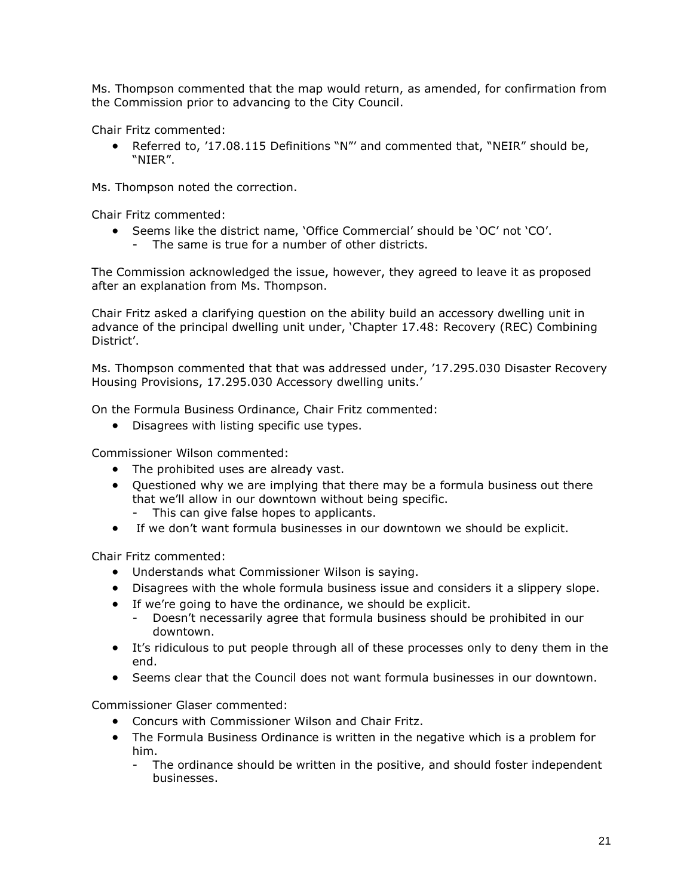Ms. Thompson commented that the map would return, as amended, for confirmation from the Commission prior to advancing to the City Council.

Chair Fritz commented:

 Referred to, '17.08.115 Definitions "N"' and commented that, "NEIR" should be, "NIER".

Ms. Thompson noted the correction.

Chair Fritz commented:

- Seems like the district name, 'Office Commercial' should be 'OC' not 'CO'.
	- The same is true for a number of other districts.

The Commission acknowledged the issue, however, they agreed to leave it as proposed after an explanation from Ms. Thompson.

Chair Fritz asked a clarifying question on the ability build an accessory dwelling unit in advance of the principal dwelling unit under, 'Chapter 17.48: Recovery (REC) Combining District'.

Ms. Thompson commented that that was addressed under, '17.295.030 Disaster Recovery Housing Provisions, 17.295.030 Accessory dwelling units.'

On the Formula Business Ordinance, Chair Fritz commented:

• Disagrees with listing specific use types.

Commissioner Wilson commented:

- The prohibited uses are already vast.
- Questioned why we are implying that there may be a formula business out there that we'll allow in our downtown without being specific.
	- This can give false hopes to applicants.
- If we don't want formula businesses in our downtown we should be explicit.

Chair Fritz commented:

- Understands what Commissioner Wilson is saying.
- Disagrees with the whole formula business issue and considers it a slippery slope.
- If we're going to have the ordinance, we should be explicit.
	- Doesn't necessarily agree that formula business should be prohibited in our downtown.
- It's ridiculous to put people through all of these processes only to deny them in the end.
- Seems clear that the Council does not want formula businesses in our downtown.

Commissioner Glaser commented:

- Concurs with Commissioner Wilson and Chair Fritz.
- The Formula Business Ordinance is written in the negative which is a problem for him.
	- The ordinance should be written in the positive, and should foster independent businesses.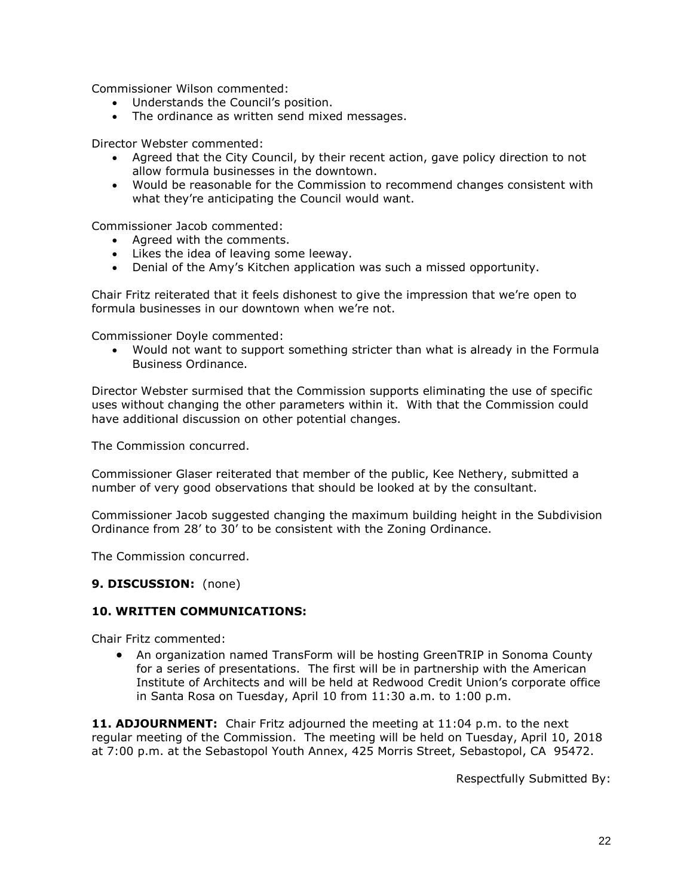Commissioner Wilson commented:

- Understands the Council's position.
- The ordinance as written send mixed messages.

Director Webster commented:

- Agreed that the City Council, by their recent action, gave policy direction to not allow formula businesses in the downtown.
- Would be reasonable for the Commission to recommend changes consistent with what they're anticipating the Council would want.

Commissioner Jacob commented:

- Agreed with the comments.
- Likes the idea of leaving some leeway.
- Denial of the Amy's Kitchen application was such a missed opportunity.

Chair Fritz reiterated that it feels dishonest to give the impression that we're open to formula businesses in our downtown when we're not.

Commissioner Doyle commented:

 Would not want to support something stricter than what is already in the Formula Business Ordinance.

Director Webster surmised that the Commission supports eliminating the use of specific uses without changing the other parameters within it. With that the Commission could have additional discussion on other potential changes.

The Commission concurred.

Commissioner Glaser reiterated that member of the public, Kee Nethery, submitted a number of very good observations that should be looked at by the consultant.

Commissioner Jacob suggested changing the maximum building height in the Subdivision Ordinance from 28' to 30' to be consistent with the Zoning Ordinance.

The Commission concurred.

#### **9. DISCUSSION:** (none)

#### **10. WRITTEN COMMUNICATIONS:**

Chair Fritz commented:

 An organization named TransForm will be hosting GreenTRIP in Sonoma County for a series of presentations. The first will be in partnership with the American Institute of Architects and will be held at Redwood Credit Union's corporate office in Santa Rosa on Tuesday, April 10 from 11:30 a.m. to 1:00 p.m.

**11. ADJOURNMENT:** Chair Fritz adjourned the meeting at 11:04 p.m. to the next regular meeting of the Commission. The meeting will be held on Tuesday, April 10, 2018 at 7:00 p.m. at the Sebastopol Youth Annex, 425 Morris Street, Sebastopol, CA 95472.

Respectfully Submitted By: